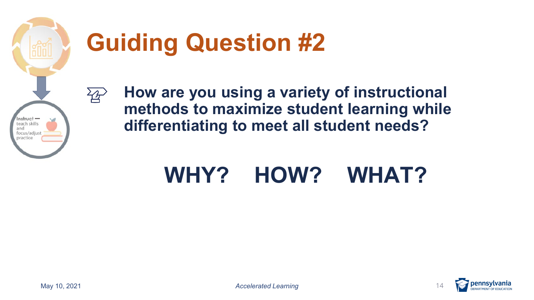

 $\overleftrightarrow{A}$ 

# **Guiding Question #2**

 **How are you using a variety of instructional methods to maximize student learning while differentiating to meet all student needs?** 

### **WHY? HOW? WHAT?**

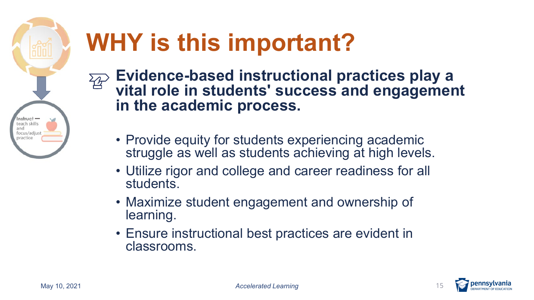

# **WHY is this important?**

- **Evidence-based instructional practices play a**   $\overleftrightarrow{B}$ **vital role in students' success and engagement in the academic process.** 
	- struggle as well as students achieving at high levels. • Provide equity for students experiencing academic
	- • Utilize rigor and college and career readiness for all students.
	- Maximize student engagement and ownership of learning.
	- • Ensure instructional best practices are evident in classrooms.

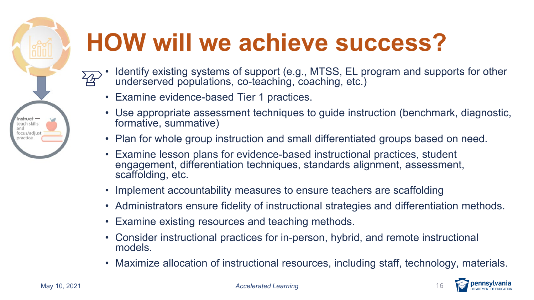

# **HOW will we achieve success?**

- • Identify existing systems of support (e.g., MTSS, EL program and supports for other underserved populations, co-teaching, coaching, etc.)
- Examine evidence-based Tier 1 practices.
- • Use appropriate assessment techniques to guide instruction (benchmark, diagnostic, formative, summative)
- Plan for whole group instruction and small differentiated groups based on need.
- • Examine lesson plans for evidence-based instructional practices, student engagement, differentiation techniques, standards alignment, assessment, scaffolding, etc.
- Implement accountability measures to ensure teachers are scaffolding
- Administrators ensure fidelity of instructional strategies and differentiation methods.
- Examine existing resources and teaching methods.
- • Consider instructional practices for in-person, hybrid, and remote instructional models.
- Maximize allocation of instructional resources, including staff, technology, materials.



May 10, 2021 *Accelerated Learning* 16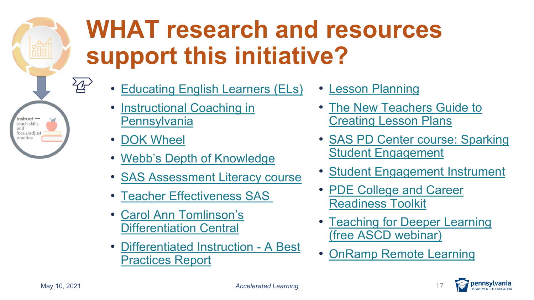# **WHAT research and resources support this initiative?**

- [Educating English Learners \(ELs\)](https://www.education.pa.gov/Policy-Funding/BECS/PACode/Pages/EducatingELs.aspx)  [Lesson Planning](https://cte.smu.edu.sg/approach-teaching/integrated-design/lesson-planning)
- Pennsylvania **Creating Lesson Plans**
- 
- [Webb's Depth of Knowledge](https://www.aps.edu/sapr/documents/resources/Webbs_DOK_Guide.pdf) **Student Engagement**
- SAS Assessment Literacy course  [Student Engagement Instrument](http://checkandconnect.umn.edu/sei/default.html)
- 
- Carol Ann Tomlinson's<br>Differentiation Central
- Differentiated Instruction A Best **Practices Report CONFIGURER 1999 [• OnRamp Remote Learning](http://www.onrampremote.learning.net)**
- 
- Instructional Coaching in  **The New Teachers Guide to**
- [DOK Wheel](https://static.pdesas.org/content/documents/M1-Slide_19_DOK_Wheel_Slide.pdf)  [SAS PD Center course: Sparking](http://pdc.pdesas.org/User/Login?ReturnUrl=%2f%3fmsg%3dtrue&msg=true)
	-
- [Teacher Effectiveness SAS](https://pdesas.org/Frameworks/TeacherFrameworks/TeacherEffectiveness)  PDE College and Career<br>Readiness Toolkit
	- Teaching for Deeper Learning<br>(free ASCD webinar)
	-



े<br>⊰

 $Instruct$ teach skills and focus/adjust practice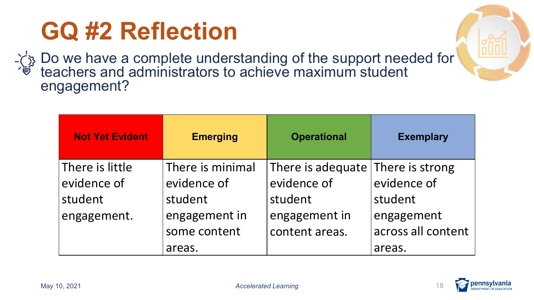## **GQ #2 Reflection**

Do we have a complete understanding of the support needed for teachers and administrators to achieve maximum student engagement?

| <b>Not Yet Evident</b> | <b>Emerging</b>  | <b>Operational</b>                | <b>Exemplary</b>   |
|------------------------|------------------|-----------------------------------|--------------------|
| There is little        | There is minimal | There is adequate There is strong |                    |
| evidence of            | evidence of      | evidence of                       | evidence of        |
| student                | student          | student                           | student            |
| engagement.            | engagement in    | engagement in                     | engagement         |
|                        | some content     | content areas.                    | across all content |
|                        | areas.           |                                   | areas.             |



**:lllll** 

**offering**